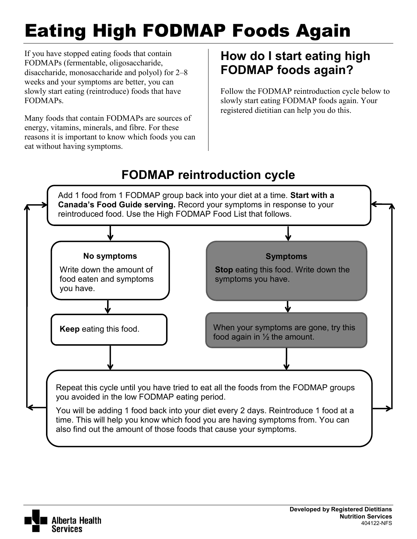# Eating High FODMAP Foods Again

If you have stopped eating foods that contain FODMAPs (fermentable, oligosaccharide, disaccharide, monosaccharide and polyol) for 2–8 weeks and your symptoms are better, you can slowly start eating (reintroduce) foods that have FODMAPs.

Many foods that contain FODMAPs are sources of energy, vitamins, minerals, and fibre. For these reasons it is important to know which foods you can eat without having symptoms.

### **How do I start eating high FODMAP foods again?**

Follow the FODMAP reintroduction cycle below to slowly start eating FODMAP foods again. Your registered dietitian can help you do this.

# **FODMAP reintroduction cycle**



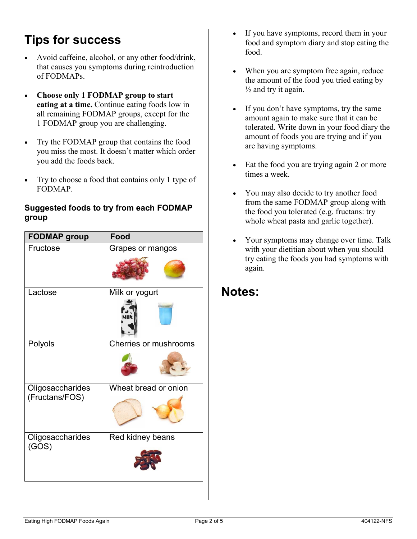#### **Tips for success**

- Avoid caffeine, alcohol, or any other food/drink, that causes you symptoms during reintroduction of FODMAPs.
- **Choose only 1 FODMAP group to start eating at a time.** Continue eating foods low in all remaining FODMAP groups, except for the 1 FODMAP group you are challenging.
- Try the FODMAP group that contains the food you miss the most. It doesn't matter which order you add the foods back.
- Try to choose a food that contains only 1 type of FODMAP.

#### **Suggested foods to try from each FODMAP group**

| <b>FODMAP group</b>                | <b>Food</b>           |
|------------------------------------|-----------------------|
| Fructose                           | Grapes or mangos      |
| Lactose                            | Milk or yogurt        |
| Polyols                            | Cherries or mushrooms |
| Oligosaccharides<br>(Fructans/FOS) | Wheat bread or onion  |
| Oligosaccharides<br>(GOS)          | Red kidney beans      |

- If you have symptoms, record them in your food and symptom diary and stop eating the food.
- When you are symptom free again, reduce the amount of the food you tried eating by  $\frac{1}{2}$  and try it again.
- If you don't have symptoms, try the same amount again to make sure that it can be tolerated. Write down in your food diary the amount of foods you are trying and if you are having symptoms.
- Eat the food you are trying again 2 or more times a week.
- You may also decide to try another food from the same FODMAP group along with the food you tolerated (e.g. fructans: try whole wheat pasta and garlic together).
- Your symptoms may change over time. Talk with your dietitian about when you should try eating the foods you had symptoms with again.

#### **Notes:**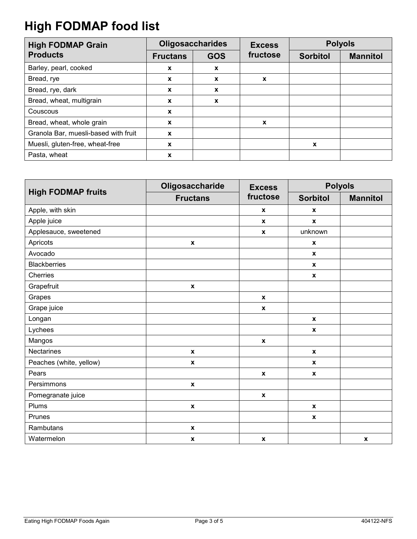# **High FODMAP food list**

| <b>High FODMAP Grain</b>             | <b>Oligosaccharides</b> |                        | <b>Excess</b> | <b>Polyols</b>  |                 |
|--------------------------------------|-------------------------|------------------------|---------------|-----------------|-----------------|
| <b>Products</b>                      | <b>Fructans</b>         | fructose<br><b>GOS</b> |               | <b>Sorbitol</b> | <b>Mannitol</b> |
| Barley, pearl, cooked                | X                       | $\mathbf{x}$           |               |                 |                 |
| Bread, rye                           | X                       | X                      | X             |                 |                 |
| Bread, rye, dark                     | X                       | X                      |               |                 |                 |
| Bread, wheat, multigrain             | X                       | X                      |               |                 |                 |
| Couscous                             | X                       |                        |               |                 |                 |
| Bread, wheat, whole grain            | X                       |                        | X             |                 |                 |
| Granola Bar, muesli-based with fruit | X                       |                        |               |                 |                 |
| Muesli, gluten-free, wheat-free      | X                       |                        |               | X               |                 |
| Pasta, wheat                         | X                       |                        |               |                 |                 |

|                           | Oligosaccharide    | <b>Excess</b>      | <b>Polyols</b>     |                 |  |
|---------------------------|--------------------|--------------------|--------------------|-----------------|--|
| <b>High FODMAP fruits</b> | <b>Fructans</b>    | fructose           | <b>Sorbitol</b>    | <b>Mannitol</b> |  |
| Apple, with skin          |                    | $\pmb{\mathsf{x}}$ | $\pmb{\mathsf{x}}$ |                 |  |
| Apple juice               |                    | $\pmb{\mathsf{x}}$ | $\pmb{\mathsf{x}}$ |                 |  |
| Applesauce, sweetened     |                    | $\pmb{\chi}$       | unknown            |                 |  |
| Apricots                  | $\pmb{\mathsf{x}}$ |                    | $\pmb{\mathsf{x}}$ |                 |  |
| Avocado                   |                    |                    | $\boldsymbol{x}$   |                 |  |
| <b>Blackberries</b>       |                    |                    | $\pmb{\mathsf{x}}$ |                 |  |
| Cherries                  |                    |                    | $\pmb{\mathsf{x}}$ |                 |  |
| Grapefruit                | $\mathbf x$        |                    |                    |                 |  |
| Grapes                    |                    | $\pmb{\chi}$       |                    |                 |  |
| Grape juice               |                    | $\boldsymbol{x}$   |                    |                 |  |
| Longan                    |                    |                    | $\pmb{\mathsf{x}}$ |                 |  |
| Lychees                   |                    |                    | $\pmb{\mathsf{x}}$ |                 |  |
| Mangos                    |                    | $\pmb{\mathsf{x}}$ |                    |                 |  |
| <b>Nectarines</b>         | $\boldsymbol{x}$   |                    | $\boldsymbol{x}$   |                 |  |
| Peaches (white, yellow)   | $\boldsymbol{x}$   |                    | $\boldsymbol{x}$   |                 |  |
| Pears                     |                    | $\pmb{\chi}$       | $\pmb{\mathsf{x}}$ |                 |  |
| Persimmons                | $\pmb{\mathsf{x}}$ |                    |                    |                 |  |
| Pomegranate juice         |                    | $\pmb{\mathsf{x}}$ |                    |                 |  |
| Plums                     | $\pmb{\mathsf{x}}$ |                    | $\boldsymbol{x}$   |                 |  |
| Prunes                    |                    |                    | $\pmb{\mathsf{x}}$ |                 |  |
| Rambutans                 | $\pmb{\mathsf{x}}$ |                    |                    |                 |  |
| Watermelon                | $\pmb{\mathsf{x}}$ | $\pmb{\chi}$       |                    | $\pmb{\chi}$    |  |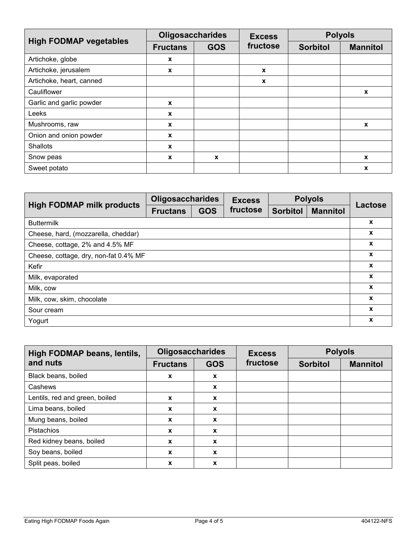| <b>High FODMAP vegetables</b> | <b>Oligosaccharides</b> |            | <b>Excess</b> | <b>Polyols</b>  |                  |
|-------------------------------|-------------------------|------------|---------------|-----------------|------------------|
|                               | <b>Fructans</b>         | <b>GOS</b> | fructose      | <b>Sorbitol</b> | <b>Mannitol</b>  |
| Artichoke, globe              | X                       |            |               |                 |                  |
| Artichoke, jerusalem          | X                       |            | $\mathbf x$   |                 |                  |
| Artichoke, heart, canned      |                         |            | X             |                 |                  |
| Cauliflower                   |                         |            |               |                 | $\boldsymbol{x}$ |
| Garlic and garlic powder      | X                       |            |               |                 |                  |
| Leeks                         | X                       |            |               |                 |                  |
| Mushrooms, raw                | X                       |            |               |                 | $\mathbf{x}$     |
| Onion and onion powder        | X                       |            |               |                 |                  |
| <b>Shallots</b>               | X                       |            |               |                 |                  |
| Snow peas                     | X                       | X          |               |                 | X                |
| Sweet potato                  |                         |            |               |                 | X                |

|                                       |                 | <b>Oligosaccharides</b> |          | <b>Polyols</b>  |                 |         |  |
|---------------------------------------|-----------------|-------------------------|----------|-----------------|-----------------|---------|--|
| <b>High FODMAP milk products</b>      | <b>Fructans</b> | <b>GOS</b>              | fructose | <b>Sorbitol</b> | <b>Mannitol</b> | Lactose |  |
| <b>Buttermilk</b>                     |                 |                         |          |                 |                 | X       |  |
| Cheese, hard, (mozzarella, cheddar)   |                 |                         |          |                 |                 | X       |  |
| Cheese, cottage, 2% and 4.5% MF       |                 |                         |          |                 |                 | X       |  |
| Cheese, cottage, dry, non-fat 0.4% MF |                 |                         |          |                 |                 | X       |  |
| Kefir                                 |                 |                         |          |                 |                 | X       |  |
| Milk, evaporated                      |                 |                         |          |                 |                 | X       |  |
| Milk, cow                             |                 |                         |          |                 |                 | X       |  |
| Milk, cow, skim, chocolate            |                 |                         |          |                 |                 | X       |  |
| Sour cream                            |                 |                         |          |                 |                 | X       |  |
| Yogurt                                |                 |                         |          |                 |                 | X       |  |

| High FODMAP beans, lentils,    | <b>Oligosaccharides</b>       |                           | <b>Excess</b>   | <b>Polyols</b>  |  |
|--------------------------------|-------------------------------|---------------------------|-----------------|-----------------|--|
| and nuts                       | <b>GOS</b><br><b>Fructans</b> | fructose                  | <b>Sorbitol</b> | <b>Mannitol</b> |  |
| Black beans, boiled            | X                             | $\boldsymbol{x}$          |                 |                 |  |
| Cashews                        |                               | $\mathbf x$               |                 |                 |  |
| Lentils, red and green, boiled | $\mathbf x$                   | $\boldsymbol{\mathsf{x}}$ |                 |                 |  |
| Lima beans, boiled             | X                             | X                         |                 |                 |  |
| Mung beans, boiled             | $\boldsymbol{x}$              | $\boldsymbol{x}$          |                 |                 |  |
| Pistachios                     | X                             | $\boldsymbol{x}$          |                 |                 |  |
| Red kidney beans, boiled       | X                             | $\mathbf x$               |                 |                 |  |
| Soy beans, boiled              | X                             | $\boldsymbol{x}$          |                 |                 |  |
| Split peas, boiled             | X                             | X                         |                 |                 |  |